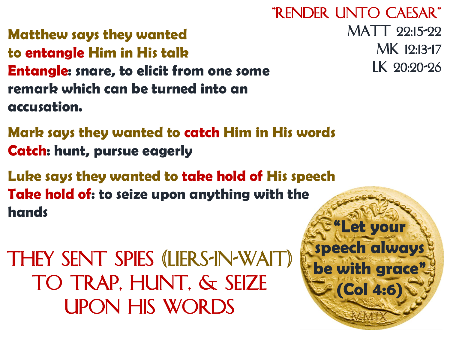Matthew says they wanted to entangle Him in His talk Entangle: snare, to elicit from one some remark which can be turned into an accusation.

"Render unto Caesar" MATT 22:15-22 Mk 12:13-17 Lk 20:20-26

"Let your

speech always

be with grace"

(Col 4:6)

Mark says they wanted to catch Him in His words Catch: hunt, pursue eagerly

Luke says they wanted to take hold of His speech Take hold of: to seize upon anything with the hands

They sent SPIES (liers-in-wait) to TRAP, HUNT, & SEIZE upon His words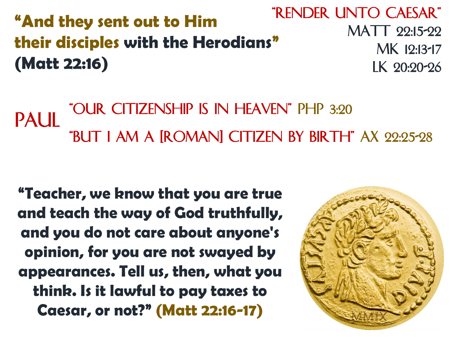"And they sent out to Him their disciples with the Herodians" (Matt 22:16)

"Render unto Caesar" MATT 22:15-22 Mk 12:13-17 Lk 20:20-26

PAUL "OUR CITIZENSHIP IS IN HEAVEN" PHP 3:20 "But I am a [Roman] citizen by birth" Ax 22:25-28

"Teacher, we know that you are true and teach the way of God truthfully, and you do not care about anyone's opinion, for you are not swayed by appearances. Tell us, then, what you think. Is it lawful to pay taxes to Caesar, or not?" (Matt 22:16-17)

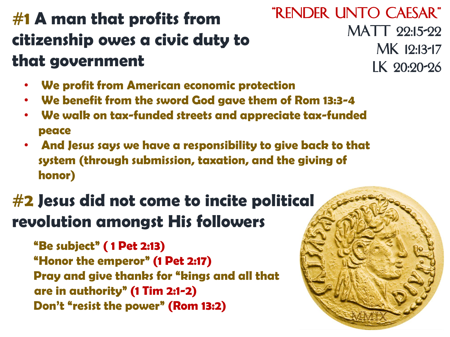## #1 A man that profits from citizenship owes a civic duty to that government

- We profit from American economic protection
- We benefit from the sword God gave them of Rom 13:3-4
- We walk on tax-funded streets and appreciate tax-funded peace
- And Jesus says we have a responsibility to give back to that system (through submission, taxation, and the giving of honor)

## #2 Jesus did not come to incite political revolution amongst His followers

"Be subject" ( 1 Pet 2:13) "Honor the emperor" (1 Pet 2:17) Pray and give thanks for "kings and all that are in authority" (1 Tim 2:1-2) Don't "resist the power" (Rom 13:2)

"Render unto Caesar" MATT 22:15-22 Mk 12:13-17 Lk 20:20-26